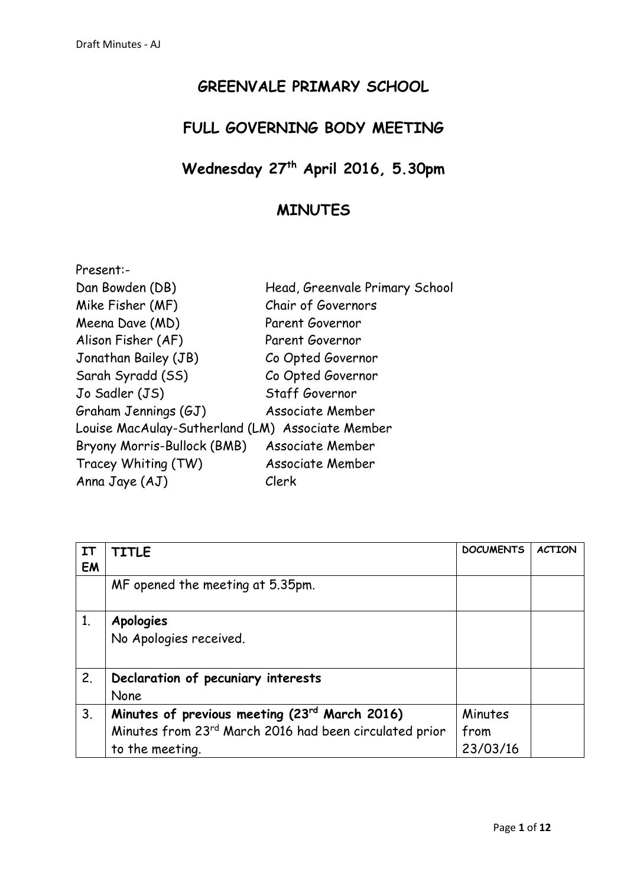## **GREENVALE PRIMARY SCHOOL**

# **FULL GOVERNING BODY MEETING**

#### **Wednesday 27 th April 2016, 5.30pm**

## **MINUTES**

| Head, Greenvale Primary School                   |
|--------------------------------------------------|
| Chair of Governors                               |
| Parent Governor                                  |
| Parent Governor                                  |
| Co Opted Governor                                |
| Co Opted Governor                                |
| Staff Governor                                   |
| <b>Associate Member</b>                          |
| Louise MacAulay-Sutherland (LM) Associate Member |
| Associate Member                                 |
| <b>Associate Member</b>                          |
| Clerk                                            |
|                                                  |

| IΤ | <b>TITLE</b>                                           | <b>DOCUMENTS</b> | <b>ACTION</b> |
|----|--------------------------------------------------------|------------------|---------------|
| EM |                                                        |                  |               |
|    | MF opened the meeting at 5.35pm.                       |                  |               |
|    |                                                        |                  |               |
| 1. | <b>Apologies</b>                                       |                  |               |
|    | No Apologies received.                                 |                  |               |
|    |                                                        |                  |               |
| 2. | Declaration of pecuniary interests                     |                  |               |
|    | None                                                   |                  |               |
| 3. | Minutes of previous meeting (23rd March 2016)          | Minutes          |               |
|    | Minutes from 23rd March 2016 had been circulated prior | from             |               |
|    | to the meeting.                                        | 23/03/16         |               |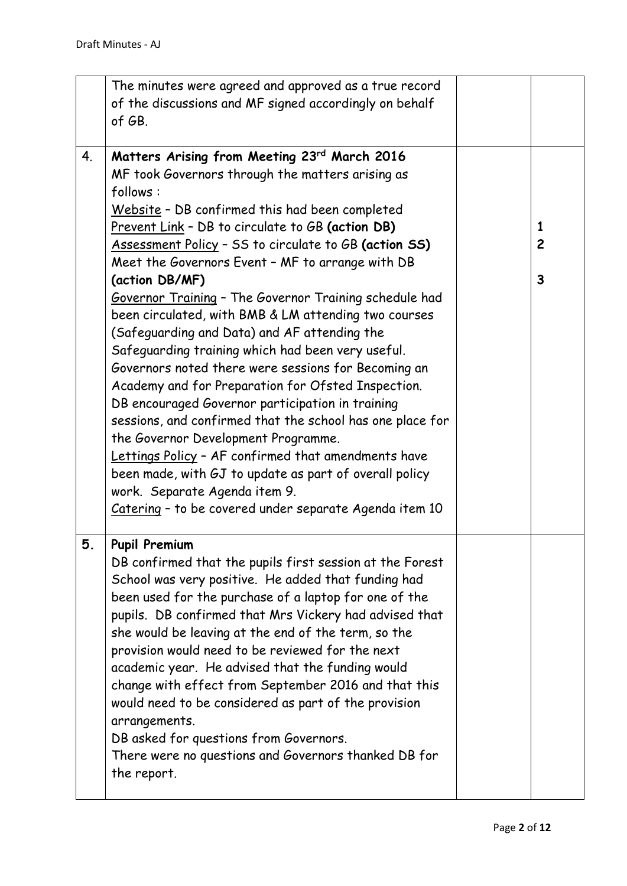|    | The minutes were agreed and approved as a true record<br>of the discussions and MF signed accordingly on behalf<br>of GB.                                                                                                                                                                                                                                                                                                                                                                                                                                                                                                                                                                                                                                                                                                                                                                                                                                                                                                                                 |                                                |
|----|-----------------------------------------------------------------------------------------------------------------------------------------------------------------------------------------------------------------------------------------------------------------------------------------------------------------------------------------------------------------------------------------------------------------------------------------------------------------------------------------------------------------------------------------------------------------------------------------------------------------------------------------------------------------------------------------------------------------------------------------------------------------------------------------------------------------------------------------------------------------------------------------------------------------------------------------------------------------------------------------------------------------------------------------------------------|------------------------------------------------|
| 4. | Matters Arising from Meeting 23rd March 2016<br>MF took Governors through the matters arising as<br>follows:<br>Website - DB confirmed this had been completed<br>Prevent Link - DB to circulate to GB (action DB)<br>Assessment Policy - SS to circulate to GB (action SS)<br>Meet the Governors Event - MF to arrange with DB<br>(action DB/MF)<br>Governor Training - The Governor Training schedule had<br>been circulated, with BMB & LM attending two courses<br>(Safeguarding and Data) and AF attending the<br>Safeguarding training which had been very useful.<br>Governors noted there were sessions for Becoming an<br>Academy and for Preparation for Ofsted Inspection.<br>DB encouraged Governor participation in training<br>sessions, and confirmed that the school has one place for<br>the Governor Development Programme.<br>Lettings Policy - AF confirmed that amendments have<br>been made, with GJ to update as part of overall policy<br>work. Separate Agenda item 9.<br>Catering - to be covered under separate Agenda item 10 | 1<br>$\overline{c}$<br>$\overline{\mathbf{3}}$ |
| 5. | <b>Pupil Premium</b><br>DB confirmed that the pupils first session at the Forest<br>School was very positive. He added that funding had<br>been used for the purchase of a laptop for one of the<br>pupils. DB confirmed that Mrs Vickery had advised that<br>she would be leaving at the end of the term, so the<br>provision would need to be reviewed for the next<br>academic year. He advised that the funding would<br>change with effect from September 2016 and that this<br>would need to be considered as part of the provision<br>arrangements.<br>DB asked for questions from Governors.<br>There were no questions and Governors thanked DB for<br>the report.                                                                                                                                                                                                                                                                                                                                                                               |                                                |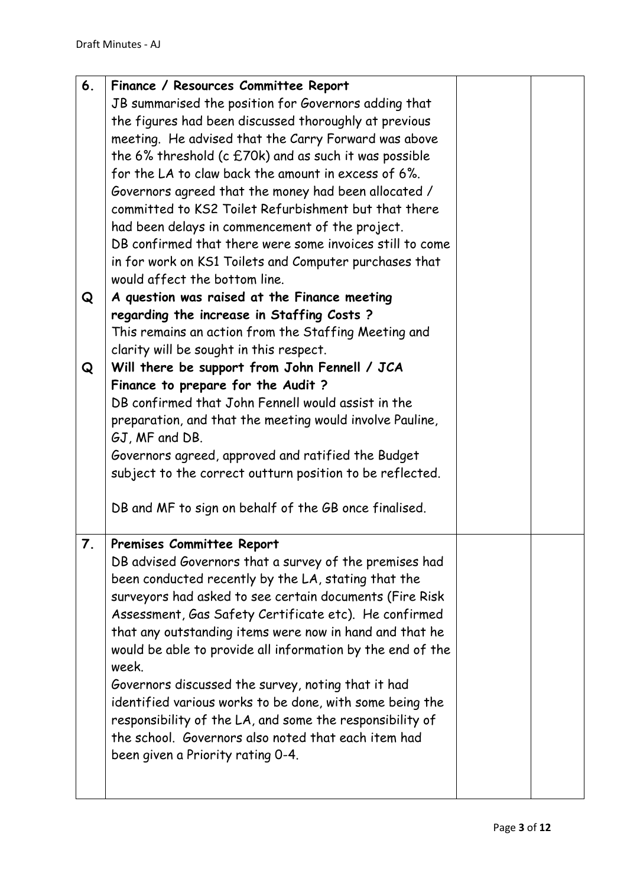| 6. | Finance / Resources Committee Report                       |  |
|----|------------------------------------------------------------|--|
|    | JB summarised the position for Governors adding that       |  |
|    | the figures had been discussed thoroughly at previous      |  |
|    | meeting. He advised that the Carry Forward was above       |  |
|    | the 6% threshold (c $E70k$ ) and as such it was possible   |  |
|    | for the LA to claw back the amount in excess of 6%.        |  |
|    | Governors agreed that the money had been allocated /       |  |
|    | committed to KS2 Toilet Refurbishment but that there       |  |
|    | had been delays in commencement of the project.            |  |
|    | DB confirmed that there were some invoices still to come   |  |
|    | in for work on KS1 Toilets and Computer purchases that     |  |
|    | would affect the bottom line.                              |  |
| Q  | A question was raised at the Finance meeting               |  |
|    | regarding the increase in Staffing Costs?                  |  |
|    | This remains an action from the Staffing Meeting and       |  |
|    | clarity will be sought in this respect.                    |  |
| Q  | Will there be support from John Fennell / JCA              |  |
|    | Finance to prepare for the Audit?                          |  |
|    | DB confirmed that John Fennell would assist in the         |  |
|    | preparation, and that the meeting would involve Pauline,   |  |
|    | GJ, MF and DB.                                             |  |
|    | Governors agreed, approved and ratified the Budget         |  |
|    | subject to the correct outturn position to be reflected.   |  |
|    | DB and MF to sign on behalf of the GB once finalised.      |  |
| 7. | Premises Committee Report                                  |  |
|    | DB advised Governors that a survey of the premises had     |  |
|    | been conducted recently by the LA, stating that the        |  |
|    | surveyors had asked to see certain documents (Fire Risk    |  |
|    | Assessment, Gas Safety Certificate etc). He confirmed      |  |
|    | that any outstanding items were now in hand and that he    |  |
|    | would be able to provide all information by the end of the |  |
|    | week.                                                      |  |
|    | Governors discussed the survey, noting that it had         |  |
|    | identified various works to be done, with some being the   |  |
|    | responsibility of the LA, and some the responsibility of   |  |
|    | the school. Governors also noted that each item had        |  |
|    | been given a Priority rating 0-4.                          |  |
|    |                                                            |  |
|    |                                                            |  |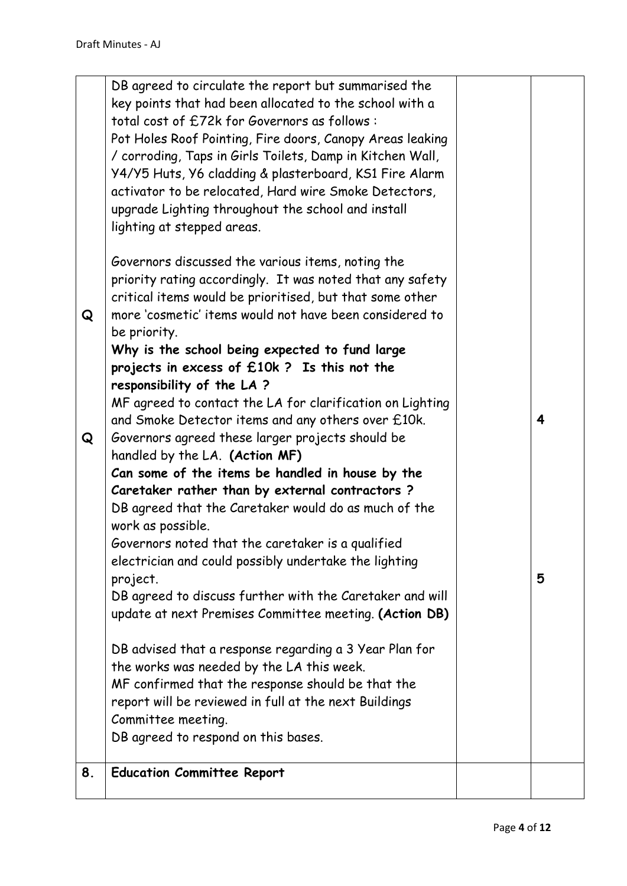| Q<br>Q | DB agreed to circulate the report but summarised the<br>key points that had been allocated to the school with a<br>total cost of £72k for Governors as follows:<br>Pot Holes Roof Pointing, Fire doors, Canopy Areas leaking<br>/ corroding, Taps in Girls Toilets, Damp in Kitchen Wall,<br>Y4/Y5 Huts, Y6 cladding & plasterboard, KS1 Fire Alarm<br>activator to be relocated, Hard wire Smoke Detectors,<br>upgrade Lighting throughout the school and install<br>lighting at stepped areas.<br>Governors discussed the various items, noting the<br>priority rating accordingly. It was noted that any safety<br>critical items would be prioritised, but that some other<br>more 'cosmetic' items would not have been considered to<br>be priority.<br>Why is the school being expected to fund large<br>projects in excess of £10k ? Is this not the<br>responsibility of the LA?<br>MF agreed to contact the LA for clarification on Lighting<br>and Smoke Detector items and any others over £10k.<br>Governors agreed these larger projects should be | $\overline{\mathbf{4}}$ |
|--------|-----------------------------------------------------------------------------------------------------------------------------------------------------------------------------------------------------------------------------------------------------------------------------------------------------------------------------------------------------------------------------------------------------------------------------------------------------------------------------------------------------------------------------------------------------------------------------------------------------------------------------------------------------------------------------------------------------------------------------------------------------------------------------------------------------------------------------------------------------------------------------------------------------------------------------------------------------------------------------------------------------------------------------------------------------------------|-------------------------|
|        | handled by the LA. (Action MF)<br>Can some of the items be handled in house by the                                                                                                                                                                                                                                                                                                                                                                                                                                                                                                                                                                                                                                                                                                                                                                                                                                                                                                                                                                              |                         |
|        | Caretaker rather than by external contractors?<br>DB agreed that the Caretaker would do as much of the                                                                                                                                                                                                                                                                                                                                                                                                                                                                                                                                                                                                                                                                                                                                                                                                                                                                                                                                                          |                         |
|        | work as possible.<br>Governors noted that the caretaker is a qualified                                                                                                                                                                                                                                                                                                                                                                                                                                                                                                                                                                                                                                                                                                                                                                                                                                                                                                                                                                                          |                         |
|        | electrician and could possibly undertake the lighting                                                                                                                                                                                                                                                                                                                                                                                                                                                                                                                                                                                                                                                                                                                                                                                                                                                                                                                                                                                                           | 5                       |
|        | project.<br>DB agreed to discuss further with the Caretaker and will                                                                                                                                                                                                                                                                                                                                                                                                                                                                                                                                                                                                                                                                                                                                                                                                                                                                                                                                                                                            |                         |
|        | update at next Premises Committee meeting. (Action DB)                                                                                                                                                                                                                                                                                                                                                                                                                                                                                                                                                                                                                                                                                                                                                                                                                                                                                                                                                                                                          |                         |
|        | DB advised that a response regarding a 3 Year Plan for<br>the works was needed by the LA this week.                                                                                                                                                                                                                                                                                                                                                                                                                                                                                                                                                                                                                                                                                                                                                                                                                                                                                                                                                             |                         |
|        | MF confirmed that the response should be that the                                                                                                                                                                                                                                                                                                                                                                                                                                                                                                                                                                                                                                                                                                                                                                                                                                                                                                                                                                                                               |                         |
|        | report will be reviewed in full at the next Buildings<br>Committee meeting.                                                                                                                                                                                                                                                                                                                                                                                                                                                                                                                                                                                                                                                                                                                                                                                                                                                                                                                                                                                     |                         |
|        | DB agreed to respond on this bases.                                                                                                                                                                                                                                                                                                                                                                                                                                                                                                                                                                                                                                                                                                                                                                                                                                                                                                                                                                                                                             |                         |
| 8.     | <b>Education Committee Report</b>                                                                                                                                                                                                                                                                                                                                                                                                                                                                                                                                                                                                                                                                                                                                                                                                                                                                                                                                                                                                                               |                         |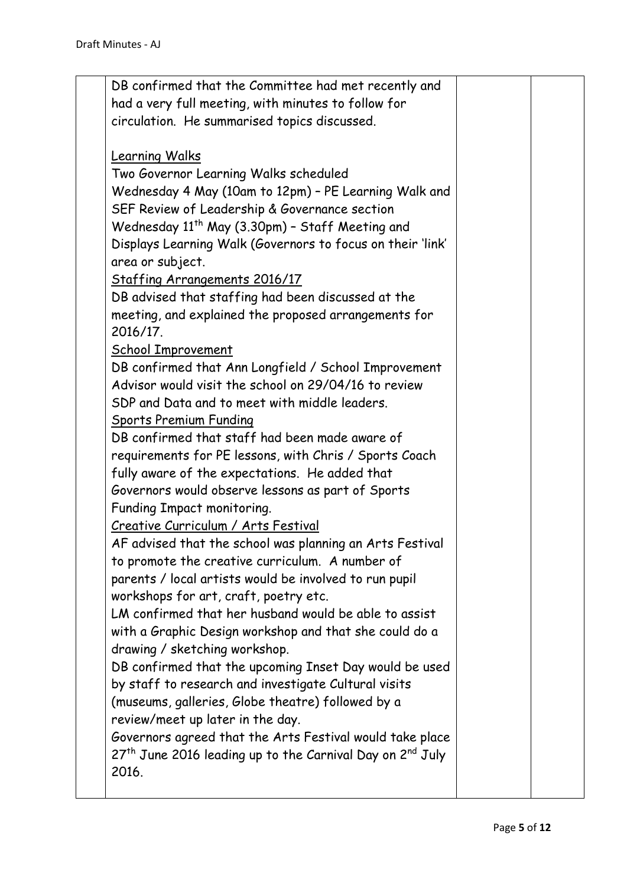| DB confirmed that the Committee had met recently and<br>had a very full meeting, with minutes to follow for<br>circulation. He summarised topics discussed. |  |
|-------------------------------------------------------------------------------------------------------------------------------------------------------------|--|
| <b>Learning Walks</b>                                                                                                                                       |  |
| Two Governor Learning Walks scheduled                                                                                                                       |  |
| Wednesday 4 May (10am to 12pm) - PE Learning Walk and                                                                                                       |  |
| SEF Review of Leadership & Governance section                                                                                                               |  |
| Wednesday 11 <sup>th</sup> May (3.30pm) - Staff Meeting and                                                                                                 |  |
| Displays Learning Walk (Governors to focus on their 'link'                                                                                                  |  |
| area or subject.                                                                                                                                            |  |
| <b>Staffing Arrangements 2016/17</b>                                                                                                                        |  |
| DB advised that staffing had been discussed at the                                                                                                          |  |
| meeting, and explained the proposed arrangements for                                                                                                        |  |
| 2016/17.                                                                                                                                                    |  |
| <b>School Improvement</b>                                                                                                                                   |  |
| DB confirmed that Ann Longfield / School Improvement                                                                                                        |  |
| Advisor would visit the school on 29/04/16 to review                                                                                                        |  |
| SDP and Data and to meet with middle leaders.                                                                                                               |  |
| <b>Sports Premium Funding</b>                                                                                                                               |  |
| DB confirmed that staff had been made aware of                                                                                                              |  |
| requirements for PE lessons, with Chris / Sports Coach                                                                                                      |  |
| fully aware of the expectations. He added that                                                                                                              |  |
| Governors would observe lessons as part of Sports                                                                                                           |  |
| Funding Impact monitoring.                                                                                                                                  |  |
| Creative Curriculum / Arts Festival                                                                                                                         |  |
| AF advised that the school was planning an Arts Festival                                                                                                    |  |
| to promote the creative curriculum. A number of                                                                                                             |  |
| parents / local artists would be involved to run pupil<br>workshops for art, craft, poetry etc.                                                             |  |
| LM confirmed that her husband would be able to assist                                                                                                       |  |
| with a Graphic Design workshop and that she could do a                                                                                                      |  |
| drawing / sketching workshop.                                                                                                                               |  |
| DB confirmed that the upcoming Inset Day would be used                                                                                                      |  |
| by staff to research and investigate Cultural visits                                                                                                        |  |
| (museums, galleries, Globe theatre) followed by a                                                                                                           |  |
| review/meet up later in the day.                                                                                                                            |  |
| Governors agreed that the Arts Festival would take place                                                                                                    |  |
| 27 <sup>th</sup> June 2016 leading up to the Carnival Day on 2 <sup>nd</sup> July                                                                           |  |
| 2016.                                                                                                                                                       |  |
|                                                                                                                                                             |  |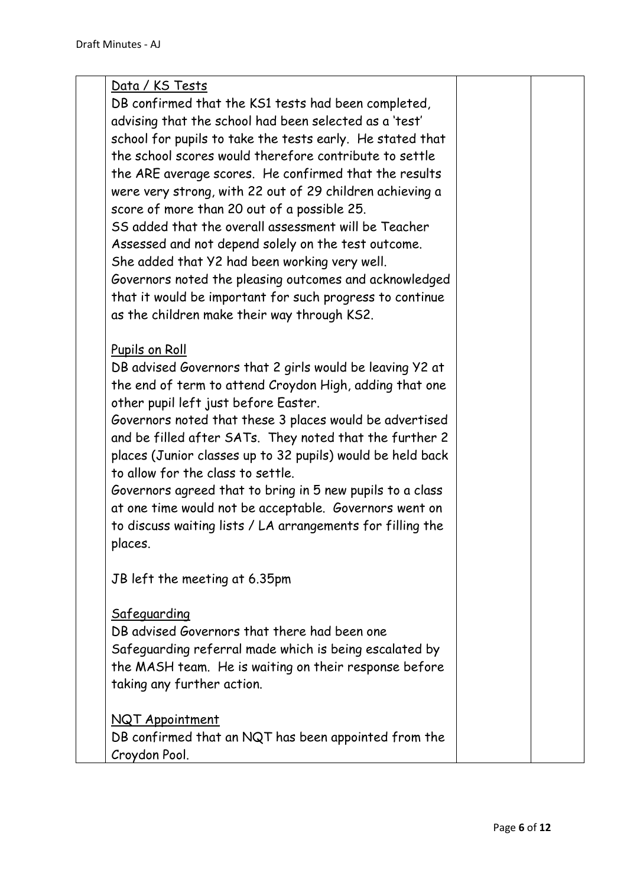| Data / KS Tests                                            |  |
|------------------------------------------------------------|--|
| DB confirmed that the KS1 tests had been completed,        |  |
| advising that the school had been selected as a 'test'     |  |
| school for pupils to take the tests early. He stated that  |  |
| the school scores would therefore contribute to settle     |  |
| the ARE average scores. He confirmed that the results      |  |
| were very strong, with 22 out of 29 children achieving a   |  |
| score of more than 20 out of a possible 25.                |  |
| SS added that the overall assessment will be Teacher       |  |
| Assessed and not depend solely on the test outcome.        |  |
| She added that Y2 had been working very well.              |  |
| Governors noted the pleasing outcomes and acknowledged     |  |
| that it would be important for such progress to continue   |  |
| as the children make their way through KS2.                |  |
|                                                            |  |
| Pupils on Roll                                             |  |
| DB advised Governors that 2 girls would be leaving Y2 at   |  |
| the end of term to attend Croydon High, adding that one    |  |
| other pupil left just before Easter.                       |  |
|                                                            |  |
| Governors noted that these 3 places would be advertised    |  |
| and be filled after SATs. They noted that the further 2    |  |
| places (Junior classes up to 32 pupils) would be held back |  |
| to allow for the class to settle.                          |  |
| Governors agreed that to bring in 5 new pupils to a class  |  |
| at one time would not be acceptable. Governors went on     |  |
| to discuss waiting lists / LA arrangements for filling the |  |
| places.                                                    |  |
|                                                            |  |
| JB left the meeting at 6.35pm                              |  |
| Safeguarding                                               |  |
| DB advised Governors that there had been one               |  |
|                                                            |  |
| Safeguarding referral made which is being escalated by     |  |
| the MASH team. He is waiting on their response before      |  |
| taking any further action.                                 |  |
| NQT Appointment                                            |  |
| DB confirmed that an NQT has been appointed from the       |  |
| Croydon Pool.                                              |  |
|                                                            |  |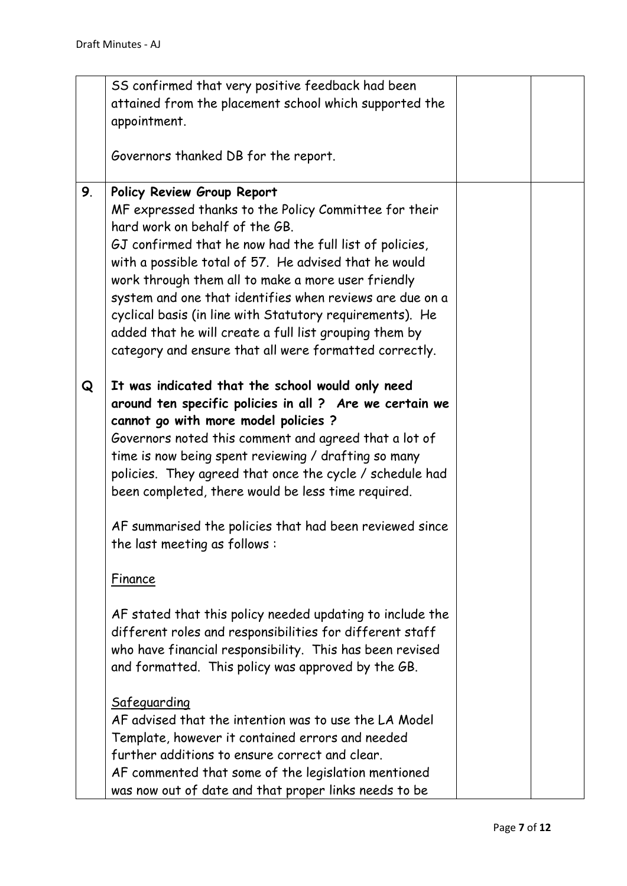|    | SS confirmed that very positive feedback had been         |  |
|----|-----------------------------------------------------------|--|
|    | attained from the placement school which supported the    |  |
|    | appointment.                                              |  |
|    |                                                           |  |
|    | Governors thanked DB for the report.                      |  |
|    |                                                           |  |
| 9. | Policy Review Group Report                                |  |
|    | MF expressed thanks to the Policy Committee for their     |  |
|    | hard work on behalf of the GB.                            |  |
|    |                                                           |  |
|    | GJ confirmed that he now had the full list of policies,   |  |
|    | with a possible total of 57. He advised that he would     |  |
|    | work through them all to make a more user friendly        |  |
|    | system and one that identifies when reviews are due on a  |  |
|    | cyclical basis (in line with Statutory requirements). He  |  |
|    | added that he will create a full list grouping them by    |  |
|    | category and ensure that all were formatted correctly.    |  |
|    |                                                           |  |
| Q  | It was indicated that the school would only need          |  |
|    | around ten specific policies in all ? Are we certain we   |  |
|    | cannot go with more model policies ?                      |  |
|    | Governors noted this comment and agreed that a lot of     |  |
|    | time is now being spent reviewing / drafting so many      |  |
|    | policies. They agreed that once the cycle / schedule had  |  |
|    | been completed, there would be less time required.        |  |
|    |                                                           |  |
|    | AF summarised the policies that had been reviewed since   |  |
|    | the last meeting as follows:                              |  |
|    |                                                           |  |
|    | Finance                                                   |  |
|    |                                                           |  |
|    | AF stated that this policy needed updating to include the |  |
|    | different roles and responsibilities for different staff  |  |
|    | who have financial responsibility. This has been revised  |  |
|    |                                                           |  |
|    | and formatted. This policy was approved by the GB.        |  |
|    |                                                           |  |
|    | Safeguarding                                              |  |
|    | AF advised that the intention was to use the LA Model     |  |
|    | Template, however it contained errors and needed          |  |
|    | further additions to ensure correct and clear.            |  |
|    | AF commented that some of the legislation mentioned       |  |
|    | was now out of date and that proper links needs to be     |  |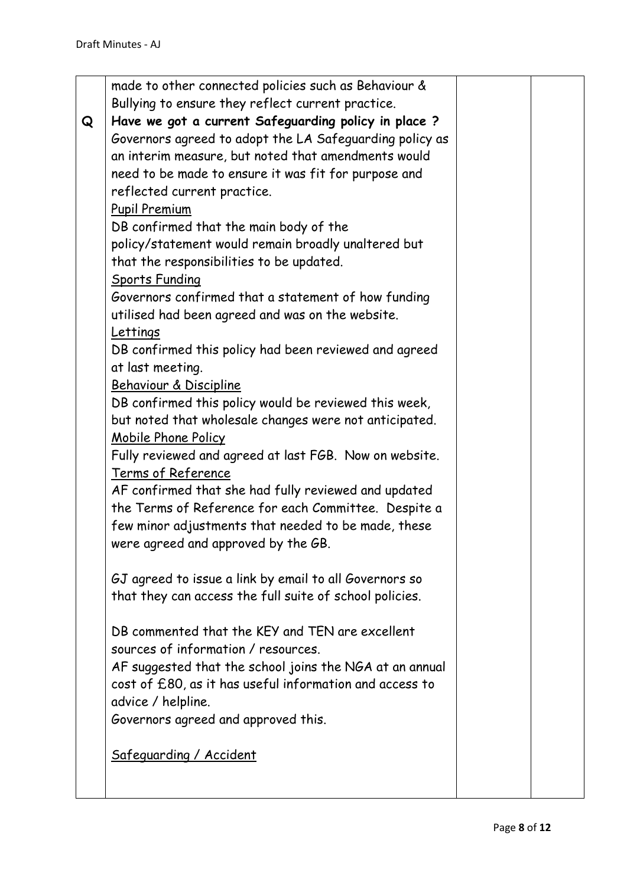|   | made to other connected policies such as Behaviour &    |  |
|---|---------------------------------------------------------|--|
|   | Bullying to ensure they reflect current practice.       |  |
| Q | Have we got a current Safeguarding policy in place ?    |  |
|   | Governors agreed to adopt the LA Safeguarding policy as |  |
|   | an interim measure, but noted that amendments would     |  |
|   | need to be made to ensure it was fit for purpose and    |  |
|   | reflected current practice.                             |  |
|   | <b>Pupil Premium</b>                                    |  |
|   | DB confirmed that the main body of the                  |  |
|   | policy/statement would remain broadly unaltered but     |  |
|   | that the responsibilities to be updated.                |  |
|   | <b>Sports Funding</b>                                   |  |
|   | Governors confirmed that a statement of how funding     |  |
|   | utilised had been agreed and was on the website.        |  |
|   | <b>Lettings</b>                                         |  |
|   | DB confirmed this policy had been reviewed and agreed   |  |
|   | at last meeting.                                        |  |
|   | Behaviour & Discipline                                  |  |
|   | DB confirmed this policy would be reviewed this week,   |  |
|   | but noted that wholesale changes were not anticipated.  |  |
|   | Mobile Phone Policy                                     |  |
|   | Fully reviewed and agreed at last FGB. Now on website.  |  |
|   | Terms of Reference                                      |  |
|   | AF confirmed that she had fully reviewed and updated    |  |
|   | the Terms of Reference for each Committee. Despite a    |  |
|   | few minor adjustments that needed to be made, these     |  |
|   | were agreed and approved by the GB.                     |  |
|   | GJ agreed to issue a link by email to all Governors so  |  |
|   | that they can access the full suite of school policies. |  |
|   |                                                         |  |
|   | DB commented that the KEY and TEN are excellent         |  |
|   | sources of information / resources.                     |  |
|   | AF suggested that the school joins the NGA at an annual |  |
|   | cost of £80, as it has useful information and access to |  |
|   | advice / helpline.                                      |  |
|   | Governors agreed and approved this.                     |  |
|   | Safeguarding / Accident                                 |  |
|   |                                                         |  |
|   |                                                         |  |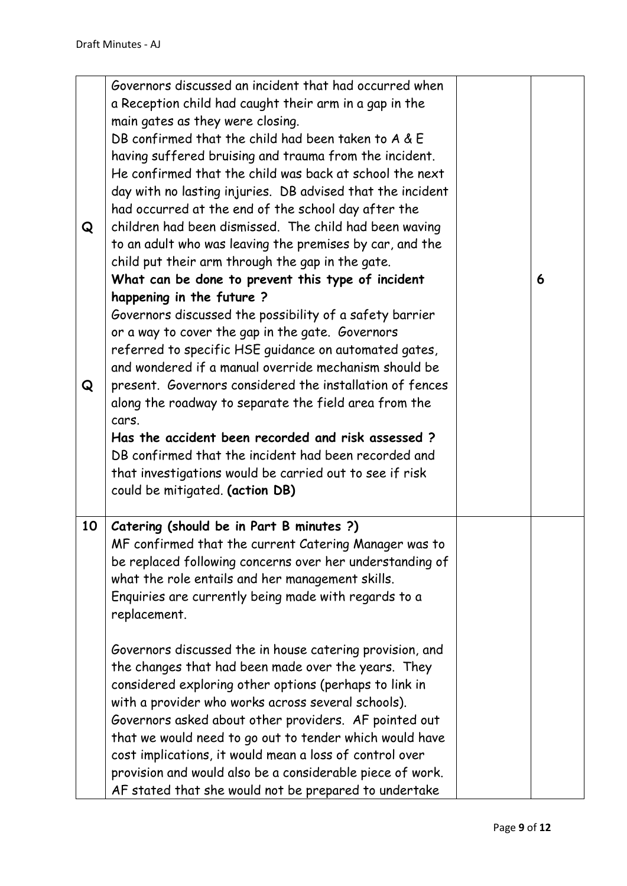| Q<br>Q | Governors discussed an incident that had occurred when<br>a Reception child had caught their arm in a gap in the<br>main gates as they were closing.<br>DB confirmed that the child had been taken to A & E<br>having suffered bruising and trauma from the incident.<br>He confirmed that the child was back at school the next<br>day with no lasting injuries. DB advised that the incident<br>had occurred at the end of the school day after the<br>children had been dismissed. The child had been waving<br>to an adult who was leaving the premises by car, and the<br>child put their arm through the gap in the gate.<br>What can be done to prevent this type of incident<br>happening in the future?<br>Governors discussed the possibility of a safety barrier<br>or a way to cover the gap in the gate. Governors<br>referred to specific HSE guidance on automated gates,<br>and wondered if a manual override mechanism should be<br>present. Governors considered the installation of fences<br>along the roadway to separate the field area from the<br>cars.<br>Has the accident been recorded and risk assessed?<br>DB confirmed that the incident had been recorded and<br>that investigations would be carried out to see if risk<br>could be mitigated. (action DB) | 6 |
|--------|--------------------------------------------------------------------------------------------------------------------------------------------------------------------------------------------------------------------------------------------------------------------------------------------------------------------------------------------------------------------------------------------------------------------------------------------------------------------------------------------------------------------------------------------------------------------------------------------------------------------------------------------------------------------------------------------------------------------------------------------------------------------------------------------------------------------------------------------------------------------------------------------------------------------------------------------------------------------------------------------------------------------------------------------------------------------------------------------------------------------------------------------------------------------------------------------------------------------------------------------------------------------------------------------|---|
| 10     | Catering (should be in Part B minutes ?)<br>MF confirmed that the current Catering Manager was to<br>be replaced following concerns over her understanding of<br>what the role entails and her management skills.<br>Enquiries are currently being made with regards to a<br>replacement.<br>Governors discussed the in house catering provision, and<br>the changes that had been made over the years. They<br>considered exploring other options (perhaps to link in<br>with a provider who works across several schools).<br>Governors asked about other providers. AF pointed out<br>that we would need to go out to tender which would have<br>cost implications, it would mean a loss of control over<br>provision and would also be a considerable piece of work.<br>AF stated that she would not be prepared to undertake                                                                                                                                                                                                                                                                                                                                                                                                                                                          |   |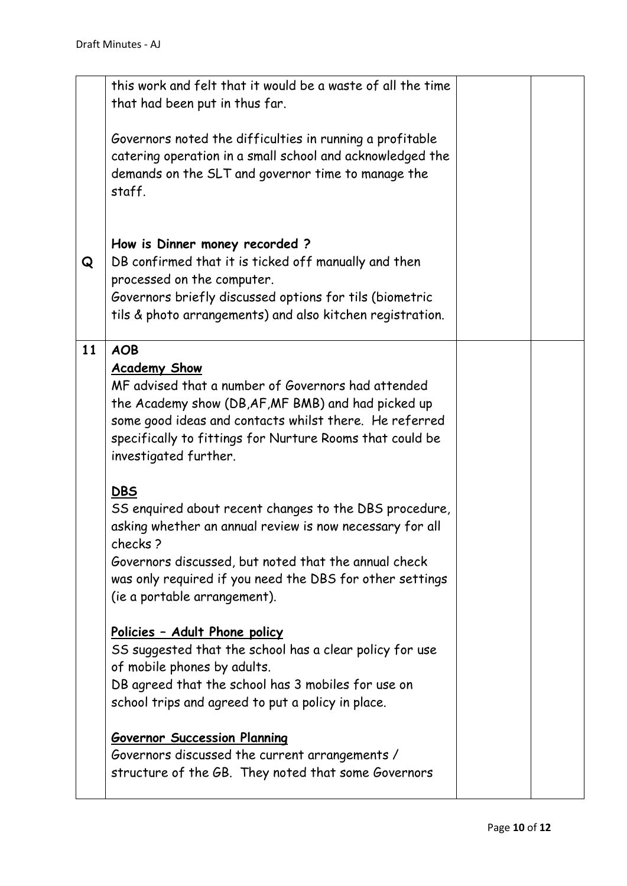|    | this work and felt that it would be a waste of all the time<br>that had been put in thus far.                                                                                                                                                                                                   |  |
|----|-------------------------------------------------------------------------------------------------------------------------------------------------------------------------------------------------------------------------------------------------------------------------------------------------|--|
|    | Governors noted the difficulties in running a profitable<br>catering operation in a small school and acknowledged the<br>demands on the SLT and governor time to manage the<br>staff.                                                                                                           |  |
| Q  | How is Dinner money recorded?<br>DB confirmed that it is ticked off manually and then<br>processed on the computer.<br>Governors briefly discussed options for tils (biometric<br>tils & photo arrangements) and also kitchen registration.                                                     |  |
| 11 | <b>AOB</b><br><b>Academy Show</b><br>MF advised that a number of Governors had attended<br>the Academy show (DB, AF, MF BMB) and had picked up<br>some good ideas and contacts whilst there. He referred<br>specifically to fittings for Nurture Rooms that could be<br>investigated further.   |  |
|    | <b>DBS</b><br>SS enquired about recent changes to the DBS procedure,<br>asking whether an annual review is now necessary for all<br>checks?<br>Governors discussed, but noted that the annual check<br>was only required if you need the DBS for other settings<br>(ie a portable arrangement). |  |
|    | Policies - Adult Phone policy<br>SS suggested that the school has a clear policy for use<br>of mobile phones by adults.<br>DB agreed that the school has 3 mobiles for use on<br>school trips and agreed to put a policy in place.                                                              |  |
|    | <b>Governor Succession Planning</b><br>Governors discussed the current arrangements /<br>structure of the GB. They noted that some Governors                                                                                                                                                    |  |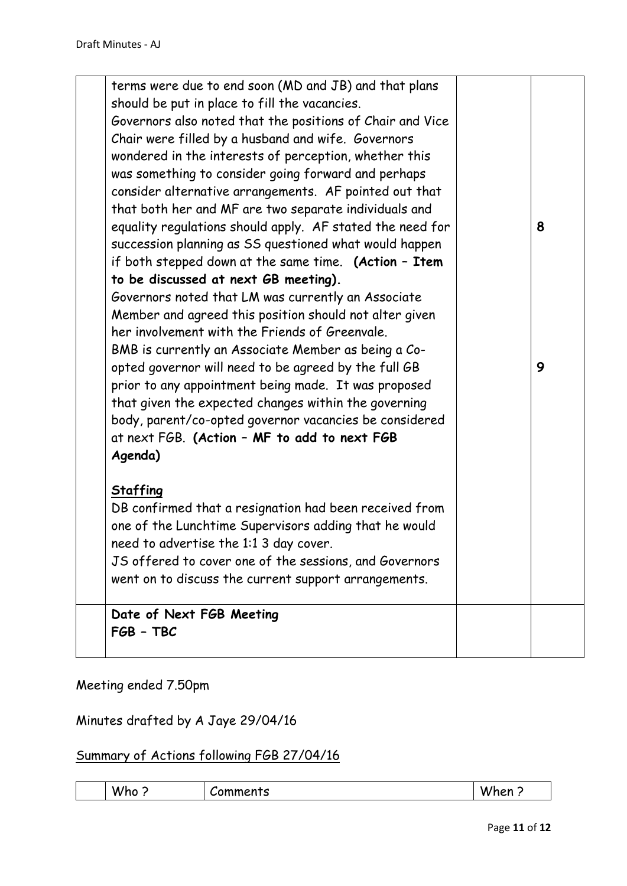| Date of Next FGB Meeting<br>FGB - TBC                                                                                                                                                                                                                                                                                                                                                                                                                                                                                                                                                                                                                                                                                                                                                                                                                                                                                                                                                                                                                                                                                                                                                                      |        |
|------------------------------------------------------------------------------------------------------------------------------------------------------------------------------------------------------------------------------------------------------------------------------------------------------------------------------------------------------------------------------------------------------------------------------------------------------------------------------------------------------------------------------------------------------------------------------------------------------------------------------------------------------------------------------------------------------------------------------------------------------------------------------------------------------------------------------------------------------------------------------------------------------------------------------------------------------------------------------------------------------------------------------------------------------------------------------------------------------------------------------------------------------------------------------------------------------------|--------|
| <b>Staffing</b><br>DB confirmed that a resignation had been received from<br>one of the Lunchtime Supervisors adding that he would<br>need to advertise the 1:1 3 day cover.<br>JS offered to cover one of the sessions, and Governors<br>went on to discuss the current support arrangements.                                                                                                                                                                                                                                                                                                                                                                                                                                                                                                                                                                                                                                                                                                                                                                                                                                                                                                             |        |
| terms were due to end soon (MD and JB) and that plans<br>should be put in place to fill the vacancies.<br>Governors also noted that the positions of Chair and Vice<br>Chair were filled by a husband and wife. Governors<br>wondered in the interests of perception, whether this<br>was something to consider going forward and perhaps<br>consider alternative arrangements. AF pointed out that<br>that both her and MF are two separate individuals and<br>equality regulations should apply. AF stated the need for<br>succession planning as SS questioned what would happen<br>if both stepped down at the same time. (Action - Item<br>to be discussed at next GB meeting).<br>Governors noted that LM was currently an Associate<br>Member and agreed this position should not alter given<br>her involvement with the Friends of Greenvale.<br>BMB is currently an Associate Member as being a Co-<br>opted governor will need to be agreed by the full GB<br>prior to any appointment being made. It was proposed<br>that given the expected changes within the governing<br>body, parent/co-opted governor vacancies be considered<br>at next FGB. (Action - MF to add to next FGB<br>Agenda) | 8<br>9 |

Meeting ended 7.50pm

Minutes drafted by A Jaye 29/04/16

## Summary of Actions following FGB 27/04/16

| .<br><br>W<br>ontc<br>- 10<br>.<br>i tan<br>.<br>m<br>. .<br>10<br>د .<br>. |  |
|-----------------------------------------------------------------------------|--|
|-----------------------------------------------------------------------------|--|